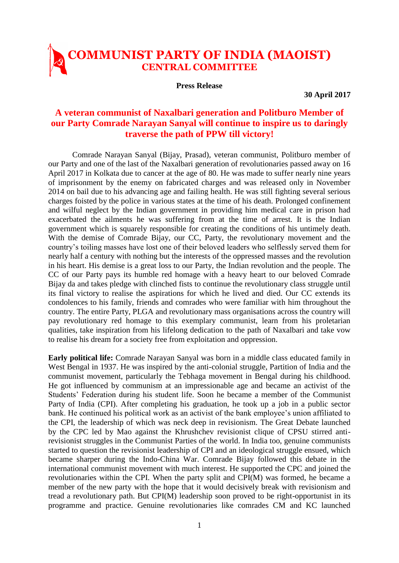## **COMMUNIST PARTY OF INDIA (MAOIST) CENTRAL COMMITTEE**

**Press Release**

**30 April 2017**

## **A veteran communist of Naxalbari generation and Politburo Member of our Party Comrade Narayan Sanyal will continue to inspire us to daringly traverse the path of PPW till victory!**

Comrade Narayan Sanyal (Bijay, Prasad), veteran communist, Politburo member of our Party and one of the last of the Naxalbari generation of revolutionaries passed away on 16 April 2017 in Kolkata due to cancer at the age of 80. He was made to suffer nearly nine years of imprisonment by the enemy on fabricated charges and was released only in November 2014 on bail due to his advancing age and failing health. He was still fighting several serious charges foisted by the police in various states at the time of his death. Prolonged confinement and wilful neglect by the Indian government in providing him medical care in prison had exacerbated the ailments he was suffering from at the time of arrest. It is the Indian government which is squarely responsible for creating the conditions of his untimely death. With the demise of Comrade Bijay, our CC, Party, the revolutionary movement and the country's toiling masses have lost one of their beloved leaders who selflessly served them for nearly half a century with nothing but the interests of the oppressed masses and the revolution in his heart. His demise is a great loss to our Party, the Indian revolution and the people. The CC of our Party pays its humble red homage with a heavy heart to our beloved Comrade Bijay da and takes pledge with clinched fists to continue the revolutionary class struggle until its final victory to realise the aspirations for which he lived and died. Our CC extends its condolences to his family, friends and comrades who were familiar with him throughout the country. The entire Party, PLGA and revolutionary mass organisations across the country will pay revolutionary red homage to this exemplary communist, learn from his proletarian qualities, take inspiration from his lifelong dedication to the path of Naxalbari and take vow to realise his dream for a society free from exploitation and oppression.

**Early political life:** Comrade Narayan Sanyal was born in a middle class educated family in West Bengal in 1937. He was inspired by the anti-colonial struggle, Partition of India and the communist movement, particularly the Tebhaga movement in Bengal during his childhood. He got influenced by communism at an impressionable age and became an activist of the Students' Federation during his student life. Soon he became a member of the Communist Party of India (CPI). After completing his graduation, he took up a job in a public sector bank. He continued his political work as an activist of the bank employee's union affiliated to the CPI, the leadership of which was neck deep in revisionism. The Great Debate launched by the CPC led by Mao against the Khrushchev revisionist clique of CPSU stirred antirevisionist struggles in the Communist Parties of the world. In India too, genuine communists started to question the revisionist leadership of CPI and an ideological struggle ensued, which became sharper during the Indo-China War. Comrade Bijay followed this debate in the international communist movement with much interest. He supported the CPC and joined the revolutionaries within the CPI. When the party split and CPI(M) was formed, he became a member of the new party with the hope that it would decisively break with revisionism and tread a revolutionary path. But CPI(M) leadership soon proved to be right-opportunist in its programme and practice. Genuine revolutionaries like comrades CM and KC launched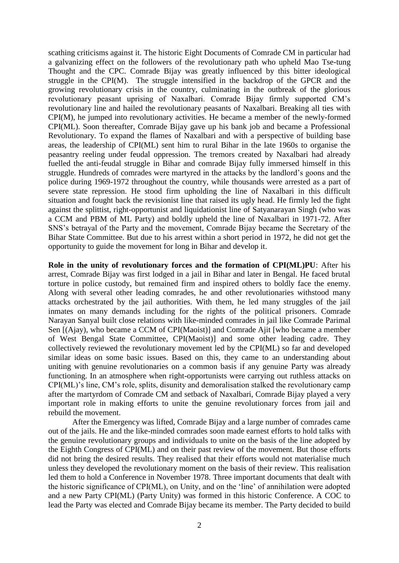scathing criticisms against it. The historic Eight Documents of Comrade CM in particular had a galvanizing effect on the followers of the revolutionary path who upheld Mao Tse-tung Thought and the CPC. Comrade Bijay was greatly influenced by this bitter ideological struggle in the CPI(M). The struggle intensified in the backdrop of the GPCR and the growing revolutionary crisis in the country, culminating in the outbreak of the glorious revolutionary peasant uprising of Naxalbari. Comrade Bijay firmly supported CM's revolutionary line and hailed the revolutionary peasants of Naxalbari. Breaking all ties with CPI(M), he jumped into revolutionary activities. He became a member of the newly-formed CPI(ML). Soon thereafter, Comrade Bijay gave up his bank job and became a Professional Revolutionary. To expand the flames of Naxalbari and with a perspective of building base areas, the leadership of CPI(ML) sent him to rural Bihar in the late 1960s to organise the peasantry reeling under feudal oppression. The tremors created by Naxalbari had already fuelled the anti-feudal struggle in Bihar and comrade Bijay fully immersed himself in this struggle. Hundreds of comrades were martyred in the attacks by the landlord's goons and the police during 1969-1972 throughout the country, while thousands were arrested as a part of severe state repression. He stood firm upholding the line of Naxalbari in this difficult situation and fought back the revisionist line that raised its ugly head. He firmly led the fight against the splittist, right-opportunist and liquidationist line of Satyanarayan Singh (who was a CCM and PBM of ML Party) and boldly upheld the line of Naxalbari in 1971-72. After SNS's betrayal of the Party and the movement, Comrade Bijay became the Secretary of the Bihar State Committee. But due to his arrest within a short period in 1972, he did not get the opportunity to guide the movement for long in Bihar and develop it.

**Role in the unity of revolutionary forces and the formation of CPI(ML)PU**: After his arrest, Comrade Bijay was first lodged in a jail in Bihar and later in Bengal. He faced brutal torture in police custody, but remained firm and inspired others to boldly face the enemy. Along with several other leading comrades, he and other revolutionaries withstood many attacks orchestrated by the jail authorities. With them, he led many struggles of the jail inmates on many demands including for the rights of the political prisoners. Comrade Narayan Sanyal built close relations with like-minded comrades in jail like Comrade Parimal Sen [(Ajay), who became a CCM of CPI(Maoist)] and Comrade Ajit [who became a member of West Bengal State Committee, CPI(Maoist)] and some other leading cadre. They collectively reviewed the revolutionary movement led by the CPI(ML) so far and developed similar ideas on some basic issues. Based on this, they came to an understanding about uniting with genuine revolutionaries on a common basis if any genuine Party was already functioning. In an atmosphere when right-opportunists were carrying out ruthless attacks on CPI(ML)'s line, CM's role, splits, disunity and demoralisation stalked the revolutionary camp after the martyrdom of Comrade CM and setback of Naxalbari, Comrade Bijay played a very important role in making efforts to unite the genuine revolutionary forces from jail and rebuild the movement.

After the Emergency was lifted, Comrade Bijay and a large number of comrades came out of the jails. He and the like-minded comrades soon made earnest efforts to hold talks with the genuine revolutionary groups and individuals to unite on the basis of the line adopted by the Eighth Congress of CPI(ML) and on their past review of the movement. But those efforts did not bring the desired results. They realised that their efforts would not materialise much unless they developed the revolutionary moment on the basis of their review. This realisation led them to hold a Conference in November 1978. Three important documents that dealt with the historic significance of CPI(ML), on Unity, and on the 'line' of annihilation were adopted and a new Party CPI(ML) (Party Unity) was formed in this historic Conference. A COC to lead the Party was elected and Comrade Bijay became its member. The Party decided to build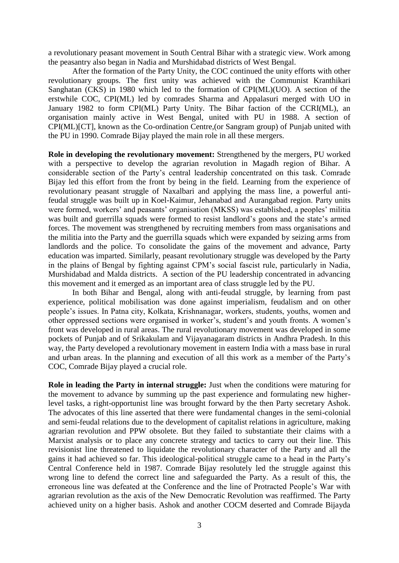a revolutionary peasant movement in South Central Bihar with a strategic view. Work among the peasantry also began in Nadia and Murshidabad districts of West Bengal.

After the formation of the Party Unity, the COC continued the unity efforts with other revolutionary groups. The first unity was achieved with the Communist Kranthikari Sanghatan (CKS) in 1980 which led to the formation of CPI(ML)(UO). A section of the erstwhile COC, CPI(ML) led by comrades Sharma and Appalasuri merged with UO in January 1982 to form CPI(ML) Party Unity. The Bihar faction of the CCRI(ML), an organisation mainly active in West Bengal, united with PU in 1988. A section of CPI(ML)[CT], known as the Co-ordination Centre,(or Sangram group) of Punjab united with the PU in 1990. Comrade Bijay played the main role in all these mergers.

**Role in developing the revolutionary movement:** Strengthened by the mergers, PU worked with a perspective to develop the agrarian revolution in Magadh region of Bihar. A considerable section of the Party's central leadership concentrated on this task. Comrade Bijay led this effort from the front by being in the field. Learning from the experience of revolutionary peasant struggle of Naxalbari and applying the mass line, a powerful antifeudal struggle was built up in Koel-Kaimur, Jehanabad and Aurangabad region. Party units were formed, workers' and peasants' organisation (MKSS) was established, a peoples' militia was built and guerrilla squads were formed to resist landlord's goons and the state's armed forces. The movement was strengthened by recruiting members from mass organisations and the militia into the Party and the guerrilla squads which were expanded by seizing arms from landlords and the police. To consolidate the gains of the movement and advance, Party education was imparted. Similarly, peasant revolutionary struggle was developed by the Party in the plains of Bengal by fighting against CPM's social fascist rule, particularly in Nadia, Murshidabad and Malda districts. A section of the PU leadership concentrated in advancing this movement and it emerged as an important area of class struggle led by the PU.

In both Bihar and Bengal, along with anti-feudal struggle, by learning from past experience, political mobilisation was done against imperialism, feudalism and on other people's issues. In Patna city, Kolkata, Krishnanagar, workers, students, youths, women and other oppressed sections were organised in worker's, student's and youth fronts. A women's front was developed in rural areas. The rural revolutionary movement was developed in some pockets of Punjab and of Srikakulam and Vijayanagaram districts in Andhra Pradesh. In this way, the Party developed a revolutionary movement in eastern India with a mass base in rural and urban areas. In the planning and execution of all this work as a member of the Party's COC, Comrade Bijay played a crucial role.

**Role in leading the Party in internal struggle:** Just when the conditions were maturing for the movement to advance by summing up the past experience and formulating new higherlevel tasks, a right-opportunist line was brought forward by the then Party secretary Ashok. The advocates of this line asserted that there were fundamental changes in the semi-colonial and semi-feudal relations due to the development of capitalist relations in agriculture, making agrarian revolution and PPW obsolete. But they failed to substantiate their claims with a Marxist analysis or to place any concrete strategy and tactics to carry out their line. This revisionist line threatened to liquidate the revolutionary character of the Party and all the gains it had achieved so far. This ideological-political struggle came to a head in the Party's Central Conference held in 1987. Comrade Bijay resolutely led the struggle against this wrong line to defend the correct line and safeguarded the Party. As a result of this, the erroneous line was defeated at the Conference and the line of Protracted People's War with agrarian revolution as the axis of the New Democratic Revolution was reaffirmed. The Party achieved unity on a higher basis. Ashok and another COCM deserted and Comrade Bijayda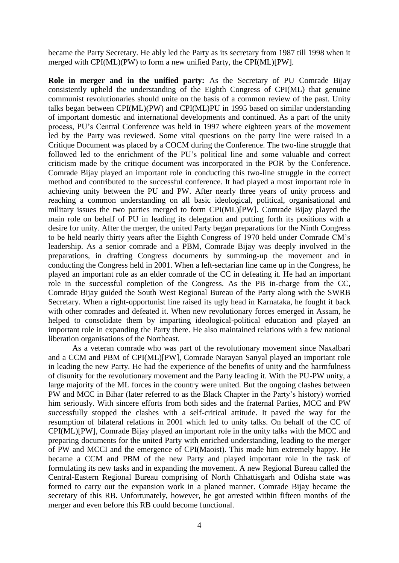became the Party Secretary. He ably led the Party as its secretary from 1987 till 1998 when it merged with CPI(ML)(PW) to form a new unified Party, the CPI(ML)[PW].

**Role in merger and in the unified party:** As the Secretary of PU Comrade Bijay consistently upheld the understanding of the Eighth Congress of CPI(ML) that genuine communist revolutionaries should unite on the basis of a common review of the past. Unity talks began between CPI(ML)(PW) and CPI(ML)PU in 1995 based on similar understanding of important domestic and international developments and continued. As a part of the unity process, PU's Central Conference was held in 1997 where eighteen years of the movement led by the Party was reviewed. Some vital questions on the party line were raised in a Critique Document was placed by a COCM during the Conference. The two-line struggle that followed led to the enrichment of the PU's political line and some valuable and correct criticism made by the critique document was incorporated in the POR by the Conference. Comrade Bijay played an important role in conducting this two-line struggle in the correct method and contributed to the successful conference. It had played a most important role in achieving unity between the PU and PW. After nearly three years of unity process and reaching a common understanding on all basic ideological, political, organisational and military issues the two parties merged to form CPI(ML)[PW]. Comrade Bijay played the main role on behalf of PU in leading its delegation and putting forth its positions with a desire for unity. After the merger, the united Party began preparations for the Ninth Congress to be held nearly thirty years after the Eighth Congress of 1970 held under Comrade CM's leadership. As a senior comrade and a PBM, Comrade Bijay was deeply involved in the preparations, in drafting Congress documents by summing-up the movement and in conducting the Congress held in 2001. When a left-sectarian line came up in the Congress, he played an important role as an elder comrade of the CC in defeating it. He had an important role in the successful completion of the Congress. As the PB in-charge from the CC, Comrade Bijay guided the South West Regional Bureau of the Party along with the SWRB Secretary. When a right-opportunist line raised its ugly head in Karnataka, he fought it back with other comrades and defeated it. When new revolutionary forces emerged in Assam, he helped to consolidate them by imparting ideological-political education and played an important role in expanding the Party there. He also maintained relations with a few national liberation organisations of the Northeast.

As a veteran comrade who was part of the revolutionary movement since Naxalbari and a CCM and PBM of CPI(ML)[PW], Comrade Narayan Sanyal played an important role in leading the new Party. He had the experience of the benefits of unity and the harmfulness of disunity for the revolutionary movement and the Party leading it. With the PU-PW unity, a large majority of the ML forces in the country were united. But the ongoing clashes between PW and MCC in Bihar (later referred to as the Black Chapter in the Party's history) worried him seriously. With sincere efforts from both sides and the fraternal Parties, MCC and PW successfully stopped the clashes with a self-critical attitude. It paved the way for the resumption of bilateral relations in 2001 which led to unity talks. On behalf of the CC of CPI(ML)[PW], Comrade Bijay played an important role in the unity talks with the MCC and preparing documents for the united Party with enriched understanding, leading to the merger of PW and MCCI and the emergence of CPI(Maoist). This made him extremely happy. He became a CCM and PBM of the new Party and played important role in the task of formulating its new tasks and in expanding the movement. A new Regional Bureau called the Central-Eastern Regional Bureau comprising of North Chhattisgarh and Odisha state was formed to carry out the expansion work in a planed manner. Comrade Bijay became the secretary of this RB. Unfortunately, however, he got arrested within fifteen months of the merger and even before this RB could become functional.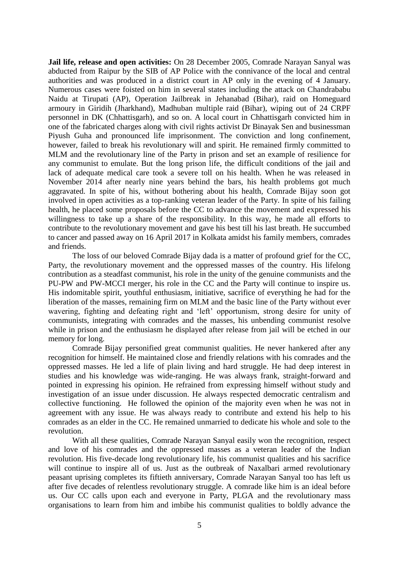**Jail life, release and open activities:** On 28 December 2005, Comrade Narayan Sanyal was abducted from Raipur by the SIB of AP Police with the connivance of the local and central authorities and was produced in a district court in AP only in the evening of 4 January. Numerous cases were foisted on him in several states including the attack on Chandrababu Naidu at Tirupati (AP), Operation Jailbreak in Jehanabad (Bihar), raid on Homeguard armoury in Giridih (Jharkhand), Madhuban multiple raid (Bihar), wiping out of 24 CRPF personnel in DK (Chhattisgarh), and so on. A local court in Chhattisgarh convicted him in one of the fabricated charges along with civil rights activist Dr Binayak Sen and businessman Piyush Guha and pronounced life imprisonment. The conviction and long confinement, however, failed to break his revolutionary will and spirit. He remained firmly committed to MLM and the revolutionary line of the Party in prison and set an example of resilience for any communist to emulate. But the long prison life, the difficult conditions of the jail and lack of adequate medical care took a severe toll on his health. When he was released in November 2014 after nearly nine years behind the bars, his health problems got much aggravated. In spite of his, without bothering about his health, Comrade Bijay soon got involved in open activities as a top-ranking veteran leader of the Party. In spite of his failing health, he placed some proposals before the CC to advance the movement and expressed his willingness to take up a share of the responsibility. In this way, he made all efforts to contribute to the revolutionary movement and gave his best till his last breath. He succumbed to cancer and passed away on 16 April 2017 in Kolkata amidst his family members, comrades and friends.

The loss of our beloved Comrade Bijay dada is a matter of profound grief for the CC, Party, the revolutionary movement and the oppressed masses of the country. His lifelong contribution as a steadfast communist, his role in the unity of the genuine communists and the PU-PW and PW-MCCI merger, his role in the CC and the Party will continue to inspire us. His indomitable spirit, youthful enthusiasm, initiative, sacrifice of everything he had for the liberation of the masses, remaining firm on MLM and the basic line of the Party without ever wavering, fighting and defeating right and 'left' opportunism, strong desire for unity of communists, integrating with comrades and the masses, his unbending communist resolve while in prison and the enthusiasm he displayed after release from jail will be etched in our memory for long.

Comrade Bijay personified great communist qualities. He never hankered after any recognition for himself. He maintained close and friendly relations with his comrades and the oppressed masses. He led a life of plain living and hard struggle. He had deep interest in studies and his knowledge was wide-ranging. He was always frank, straight-forward and pointed in expressing his opinion. He refrained from expressing himself without study and investigation of an issue under discussion. He always respected democratic centralism and collective functioning. He followed the opinion of the majority even when he was not in agreement with any issue. He was always ready to contribute and extend his help to his comrades as an elder in the CC. He remained unmarried to dedicate his whole and sole to the revolution.

With all these qualities, Comrade Narayan Sanyal easily won the recognition, respect and love of his comrades and the oppressed masses as a veteran leader of the Indian revolution. His five-decade long revolutionary life, his communist qualities and his sacrifice will continue to inspire all of us. Just as the outbreak of Naxalbari armed revolutionary peasant uprising completes its fiftieth anniversary, Comrade Narayan Sanyal too has left us after five decades of relentless revolutionary struggle. A comrade like him is an ideal before us. Our CC calls upon each and everyone in Party, PLGA and the revolutionary mass organisations to learn from him and imbibe his communist qualities to boldly advance the